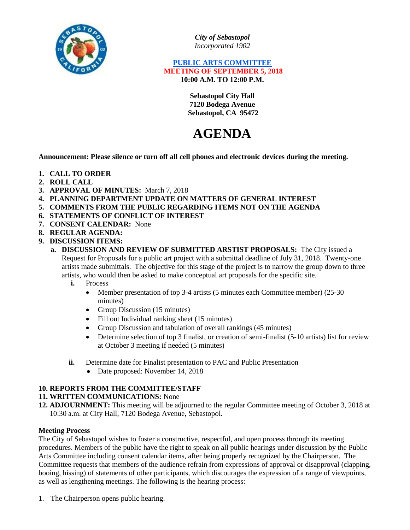

*City of Sebastopol Incorporated 1902*

### **PUBLIC ARTS COMMITTEE MEETING OF SEPTEMBER 5, 2018 10:00 A.M. TO 12:00 P.M.**

**Sebastopol City Hall 7120 Bodega Avenue Sebastopol, CA 95472**

# **AGENDA**

**Announcement: Please silence or turn off all cell phones and electronic devices during the meeting.**

- **1. CALL TO ORDER**
- **2. ROLL CALL**
- **3. APPROVAL OF MINUTES:** March 7, 2018
- **4. PLANNING DEPARTMENT UPDATE ON MATTERS OF GENERAL INTEREST**
- **5. COMMENTS FROM THE PUBLIC REGARDING ITEMS NOT ON THE AGENDA**
- **6. STATEMENTS OF CONFLICT OF INTEREST**
- **7. CONSENT CALENDAR:** None
- **8. REGULAR AGENDA:**
- **9. DISCUSSION ITEMS:**
	- **a. DISCUSSION AND REVIEW OF SUBMITTED ARSTIST PROPOSALS:** The City issued a Request for Proposals for a public art project with a submittal deadline of July 31, 2018. Twenty-one artists made submittals. The objective for this stage of the project is to narrow the group down to three artists, who would then be asked to make conceptual art proposals for the specific site.
		- **i.** Process
			- Member presentation of top 3-4 artists (5 minutes each Committee member) (25-30 minutes)
			- Group Discussion (15 minutes)
			- Fill out Individual ranking sheet (15 minutes)
			- Group Discussion and tabulation of overall rankings (45 minutes)
			- Determine selection of top 3 finalist, or creation of semi-finalist (5-10 artists) list for review at October 3 meeting if needed (5 minutes)
		- **ii.** Determine date for Finalist presentation to PAC and Public Presentation
			- Date proposed: November 14, 2018

## **10. REPORTS FROM THE COMMITTEE/STAFF**

## **11. WRITTEN COMMUNICATIONS:** None

**12. ADJOURNMENT:** This meeting will be adjourned to the regular Committee meeting of October 3, 2018 at 10:30 a.m. at City Hall, 7120 Bodega Avenue, Sebastopol.

## **Meeting Process**

The City of Sebastopol wishes to foster a constructive, respectful, and open process through its meeting procedures. Members of the public have the right to speak on all public hearings under discussion by the Public Arts Committee including consent calendar items, after being properly recognized by the Chairperson. The Committee requests that members of the audience refrain from expressions of approval or disapproval (clapping, booing, hissing) of statements of other participants, which discourages the expression of a range of viewpoints, as well as lengthening meetings. The following is the hearing process:

1. The Chairperson opens public hearing.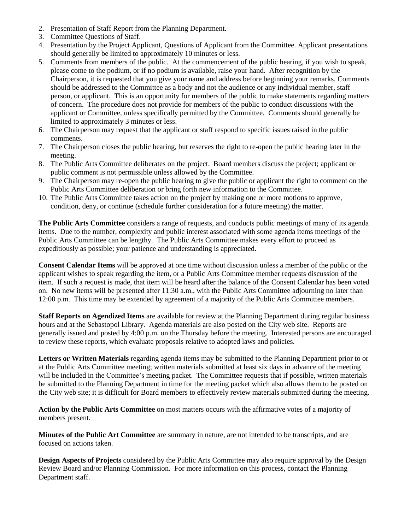- 2. Presentation of Staff Report from the Planning Department.
- 3. Committee Questions of Staff.
- 4. Presentation by the Project Applicant, Questions of Applicant from the Committee. Applicant presentations should generally be limited to approximately 10 minutes or less.
- 5. Comments from members of the public. At the commencement of the public hearing, if you wish to speak, please come to the podium, or if no podium is available, raise your hand. After recognition by the Chairperson, it is requested that you give your name and address before beginning your remarks. Comments should be addressed to the Committee as a body and not the audience or any individual member, staff person, or applicant. This is an opportunity for members of the public to make statements regarding matters of concern. The procedure does not provide for members of the public to conduct discussions with the applicant or Committee, unless specifically permitted by the Committee. Comments should generally be limited to approximately 3 minutes or less.
- 6. The Chairperson may request that the applicant or staff respond to specific issues raised in the public comments.
- 7. The Chairperson closes the public hearing, but reserves the right to re-open the public hearing later in the meeting.
- 8. The Public Arts Committee deliberates on the project. Board members discuss the project; applicant or public comment is not permissible unless allowed by the Committee.
- 9. The Chairperson may re-open the public hearing to give the public or applicant the right to comment on the Public Arts Committee deliberation or bring forth new information to the Committee.
- 10. The Public Arts Committee takes action on the project by making one or more motions to approve, condition, deny, or continue (schedule further consideration for a future meeting) the matter.

**The Public Arts Committee** considers a range of requests, and conducts public meetings of many of its agenda items. Due to the number, complexity and public interest associated with some agenda items meetings of the Public Arts Committee can be lengthy. The Public Arts Committee makes every effort to proceed as expeditiously as possible; your patience and understanding is appreciated.

**Consent Calendar Items** will be approved at one time without discussion unless a member of the public or the applicant wishes to speak regarding the item, or a Public Arts Committee member requests discussion of the item. If such a request is made, that item will be heard after the balance of the Consent Calendar has been voted on. No new items will be presented after 11:30 a.m., with the Public Arts Committee adjourning no later than 12:00 p.m. This time may be extended by agreement of a majority of the Public Arts Committee members.

**Staff Reports on Agendized Items** are available for review at the Planning Department during regular business hours and at the Sebastopol Library. Agenda materials are also posted on the City web site. Reports are generally issued and posted by 4:00 p.m. on the Thursday before the meeting. Interested persons are encouraged to review these reports, which evaluate proposals relative to adopted laws and policies.

**Letters or Written Materials** regarding agenda items may be submitted to the Planning Department prior to or at the Public Arts Committee meeting; written materials submitted at least six days in advance of the meeting will be included in the Committee's meeting packet. The Committee requests that if possible, written materials be submitted to the Planning Department in time for the meeting packet which also allows them to be posted on the City web site; it is difficult for Board members to effectively review materials submitted during the meeting.

**Action by the Public Arts Committee** on most matters occurs with the affirmative votes of a majority of members present.

**Minutes of the Public Art Committee** are summary in nature, are not intended to be transcripts, and are focused on actions taken.

**Design Aspects of Projects** considered by the Public Arts Committee may also require approval by the Design Review Board and/or Planning Commission. For more information on this process, contact the Planning Department staff.